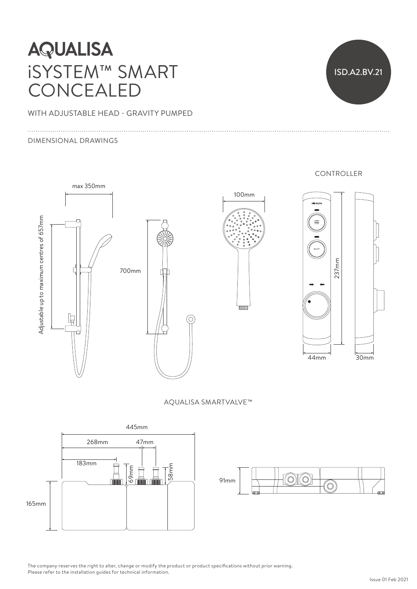# **AQUALISA** iSYSTEM™ SMART CONCEALED

WITH ADJUSTABLE HEAD - GRAVITY PUMPED

#### DIMENSIONAL DRAWINGS

ISD.A2.BV.21

CONTROLLER



AQUALISA SMARTVALVE™





The company reserves the right to alter, change or modify the product or product specifications without prior warning. Please refer to the installation guides for technical information.